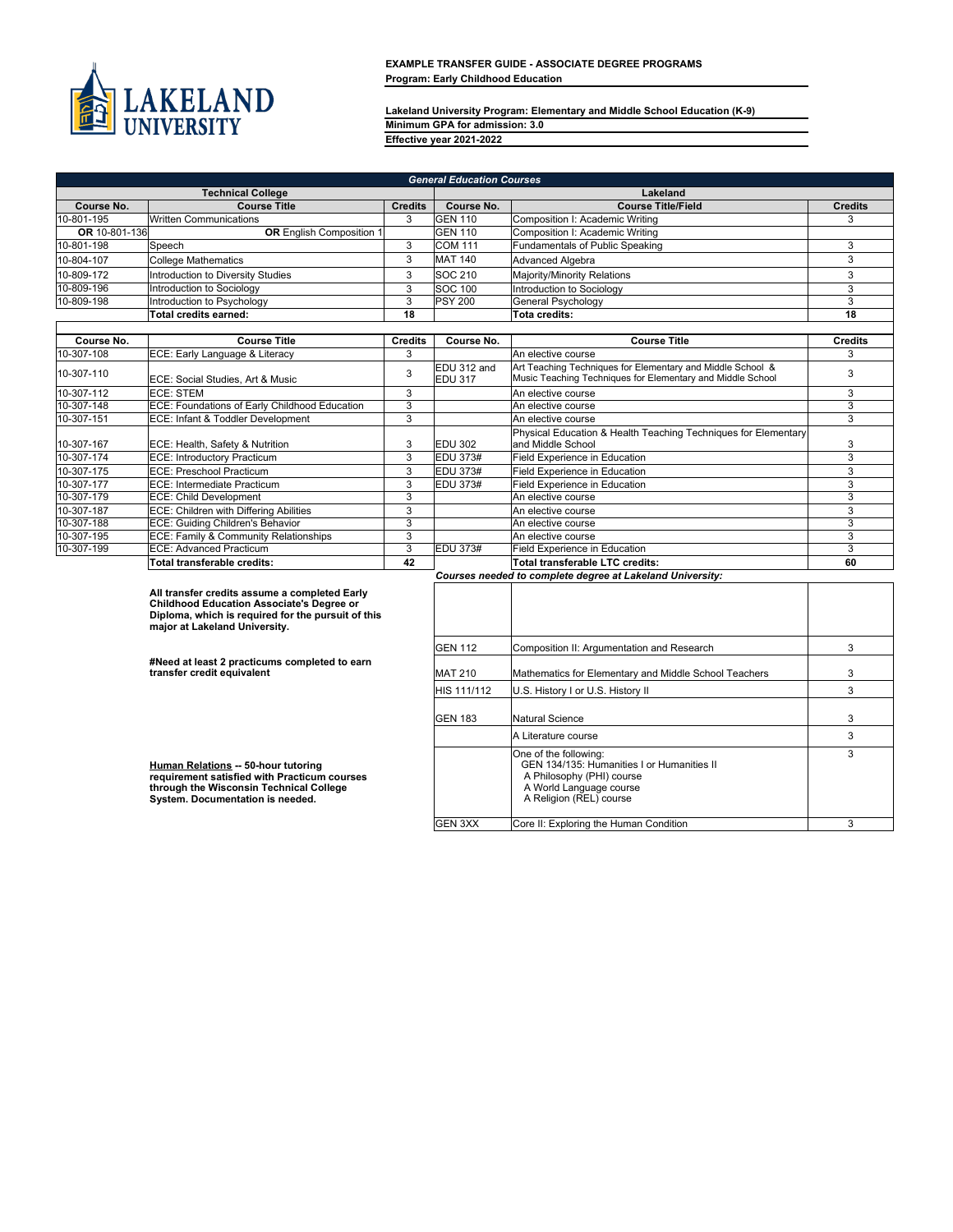

**Lakeland University Program: Elementary and Middle School Education (K-9) Minimum GPA for admission: 3.0 Effective year 2021-2022**

| <b>General Education Courses</b> |                                                                                                                                                                                          |                |                               |                                                                                                                                                        |                           |
|----------------------------------|------------------------------------------------------------------------------------------------------------------------------------------------------------------------------------------|----------------|-------------------------------|--------------------------------------------------------------------------------------------------------------------------------------------------------|---------------------------|
|                                  | <b>Technical College</b>                                                                                                                                                                 |                |                               | Lakeland                                                                                                                                               |                           |
| Course No.                       | <b>Course Title</b>                                                                                                                                                                      | <b>Credits</b> | Course No.                    | <b>Course Title/Field</b>                                                                                                                              | <b>Credits</b>            |
| 10-801-195                       | <b>Written Communications</b>                                                                                                                                                            | 3              | <b>IGEN 110</b>               | Composition I: Academic Writing                                                                                                                        | 3                         |
| OR 10-801-136                    | <b>OR</b> English Composition 1                                                                                                                                                          |                | <b>GEN 110</b>                | Composition I: Academic Writing                                                                                                                        |                           |
| 10-801-198                       | Speech                                                                                                                                                                                   | 3              | <b>COM 111</b>                | Fundamentals of Public Speaking                                                                                                                        | 3                         |
| 10-804-107                       | <b>College Mathematics</b>                                                                                                                                                               | 3              | <b>MAT 140</b>                | Advanced Algebra                                                                                                                                       | 3                         |
| 10-809-172                       | Introduction to Diversity Studies                                                                                                                                                        | 3              | SOC 210                       | Majority/Minority Relations                                                                                                                            | 3                         |
| 10-809-196                       | Introduction to Sociology                                                                                                                                                                | 3              | <b>SOC 100</b>                | Introduction to Sociology                                                                                                                              | $\overline{3}$            |
| 10-809-198                       | Introduction to Psychology                                                                                                                                                               | 3              | <b>PSY 200</b>                | General Psychology                                                                                                                                     | $\overline{3}$            |
|                                  | Total credits earned:                                                                                                                                                                    | 18             |                               | Tota credits:                                                                                                                                          | 18                        |
|                                  |                                                                                                                                                                                          |                |                               |                                                                                                                                                        |                           |
| Course No.                       | <b>Course Title</b>                                                                                                                                                                      | <b>Credits</b> | Course No.                    | <b>Course Title</b>                                                                                                                                    | <b>Credits</b>            |
| 10-307-108                       | ECE: Early Language & Literacy                                                                                                                                                           | 3              |                               | An elective course                                                                                                                                     | 3                         |
| 10-307-110                       | ECE: Social Studies, Art & Music                                                                                                                                                         | 3              | EDU 312 and<br><b>EDU 317</b> | Art Teaching Techniques for Elementary and Middle School &<br>Music Teaching Techniques for Elementary and Middle School                               | $\mathbf{3}$              |
| 10-307-112                       | <b>ECE: STEM</b>                                                                                                                                                                         | 3              |                               | An elective course                                                                                                                                     | 3                         |
| 10-307-148                       | <b>ECE: Foundations of Early Childhood Education</b>                                                                                                                                     | $\overline{3}$ |                               | An elective course                                                                                                                                     | $\overline{\overline{3}}$ |
| 10-307-151                       | ECE: Infant & Toddler Development                                                                                                                                                        | $\overline{3}$ |                               | An elective course                                                                                                                                     | $\overline{3}$            |
| 10-307-167                       | ECE: Health, Safety & Nutrition                                                                                                                                                          | 3              | EDU 302                       | Physical Education & Health Teaching Techniques for Elementary<br>and Middle School                                                                    | 3                         |
| 10-307-174                       | ECE: Introductory Practicum                                                                                                                                                              | 3              | EDU 373#                      | Field Experience in Education                                                                                                                          | $\overline{3}$            |
| 10-307-175                       | ECE: Preschool Practicum                                                                                                                                                                 | $\overline{3}$ | <b>EDU 373#</b>               | Field Experience in Education                                                                                                                          | $\overline{3}$            |
| 10-307-177                       | ECE: Intermediate Practicum                                                                                                                                                              | $\overline{3}$ | <b>EDU 373#</b>               | Field Experience in Education                                                                                                                          | $\overline{3}$            |
| 10-307-179                       | ECE: Child Development                                                                                                                                                                   | 3              |                               | An elective course                                                                                                                                     | 3                         |
| 10-307-187                       | ECE: Children with Differing Abilities                                                                                                                                                   | 3              |                               | An elective course                                                                                                                                     | $\overline{3}$            |
| 10-307-188                       | ECE: Guiding Children's Behavior                                                                                                                                                         | 3              |                               | An elective course                                                                                                                                     | $\overline{3}$            |
| 10-307-195                       | ECE: Family & Community Relationships                                                                                                                                                    | 3              |                               | An elective course                                                                                                                                     | 3                         |
| 10-307-199                       | <b>ECE: Advanced Practicum</b>                                                                                                                                                           | $\overline{3}$ | <b>EDU 373#</b>               | Field Experience in Education                                                                                                                          | $\overline{3}$            |
|                                  | Total transferable credits:                                                                                                                                                              | 42             |                               | Total transferable LTC credits:                                                                                                                        | 60                        |
|                                  |                                                                                                                                                                                          |                |                               | Courses needed to complete degree at Lakeland University:                                                                                              |                           |
|                                  | All transfer credits assume a completed Early<br><b>Childhood Education Associate's Degree or</b><br>Diploma, which is required for the pursuit of this<br>major at Lakeland University. |                |                               |                                                                                                                                                        |                           |
|                                  | #Need at least 2 practicums completed to earn                                                                                                                                            |                | <b>GEN 112</b>                | Composition II: Argumentation and Research                                                                                                             | 3                         |
|                                  | transfer credit equivalent                                                                                                                                                               |                | <b>MAT 210</b>                | Mathematics for Elementary and Middle School Teachers                                                                                                  | 3                         |
|                                  |                                                                                                                                                                                          |                | HIS 111/112                   | U.S. History I or U.S. History II                                                                                                                      | 3                         |
|                                  |                                                                                                                                                                                          |                | <b>GEN 183</b>                | <b>Natural Science</b>                                                                                                                                 | 3                         |
|                                  |                                                                                                                                                                                          |                |                               | A Literature course                                                                                                                                    | $\mathbf{3}$              |
|                                  | Human Relations -- 50-hour tutoring<br>requirement satisfied with Practicum courses<br>through the Wisconsin Technical College<br>System. Documentation is needed.                       |                |                               | One of the following:<br>GEN 134/135: Humanities I or Humanities II<br>A Philosophy (PHI) course<br>A World Language course<br>A Religion (REL) course | 3                         |
|                                  |                                                                                                                                                                                          |                | <b>GEN 3XX</b>                | Core II: Exploring the Human Condition                                                                                                                 | $\overline{3}$            |
|                                  |                                                                                                                                                                                          |                |                               |                                                                                                                                                        |                           |